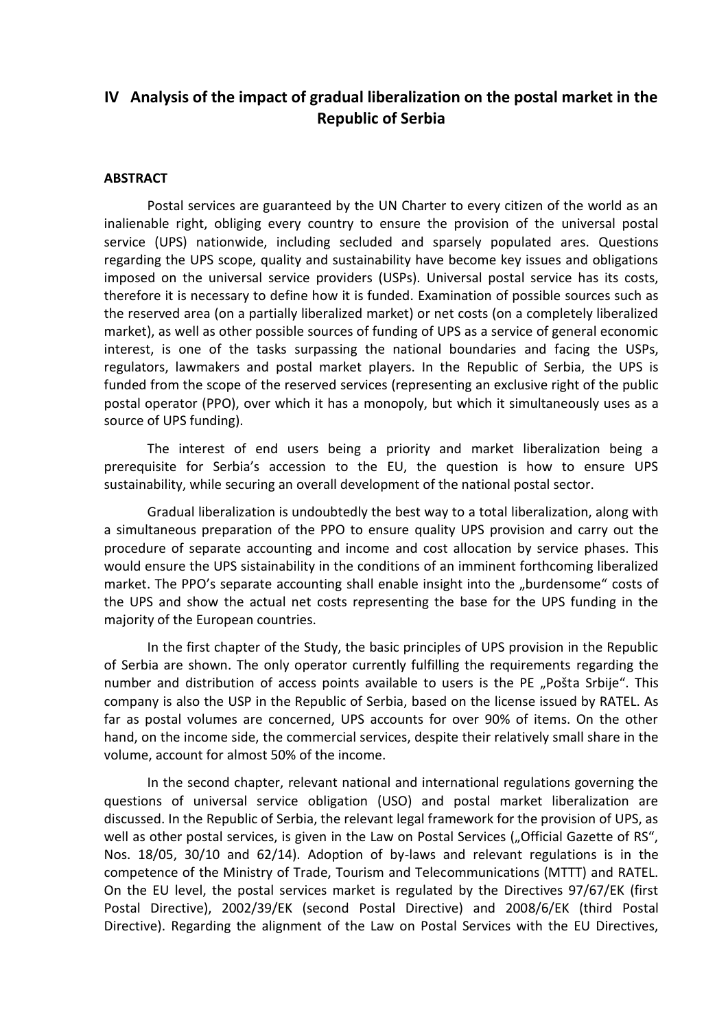## **IV Analysis of the impact of gradual liberalization on the postal market in the Republic of Serbia**

## **ABSTRACT**

Postal services are guaranteed by the UN Charter to every citizen of the world as an inalienable right, obliging every country to ensure the provision of the universal postal service (UPS) nationwide, including secluded and sparsely populated ares. Questions regarding the UPS scope, quality and sustainability have become key issues and obligations imposed on the universal service providers (USPs). Universal postal service has its costs, therefore it is necessary to define how it is funded. Examination of possible sources such as the reserved area (on a partially liberalized market) or net costs (on a completely liberalized market), as well as other possible sources of funding of UPS as a service of general economic interest, is one of the tasks surpassing the national boundaries and facing the USPs, regulators, lawmakers and postal market players. In the Republic of Serbia, the UPS is funded from the scope of the reserved services (representing an exclusive right of the public postal operator (PPO), over which it has a monopoly, but which it simultaneously uses as a source of UPS funding).

The interest of end users being a priority and market liberalization being a prerequisite for Serbia's accession to the EU, the question is how to ensure UPS sustainability, while securing an overall development of the national postal sector.

Gradual liberalization is undoubtedly the best way to a total liberalization, along with a simultaneous preparation of the PPO to ensure quality UPS provision and carry out the procedure of separate accounting and income and cost allocation by service phases. This would ensure the UPS sistainability in the conditions of an imminent forthcoming liberalized market. The PPO's separate accounting shall enable insight into the "burdensome" costs of the UPS and show the actual net costs representing the base for the UPS funding in the majority of the European countries.

In the first chapter of the Study, the basic principles of UPS provision in the Republic of Serbia are shown. The only operator currently fulfilling the requirements regarding the number and distribution of access points available to users is the PE "Pošta Srbije". This company is also the USP in the Republic of Serbia, based on the license issued by RATEL. As far as postal volumes are concerned, UPS accounts for over 90% of items. On the other hand, on the income side, the commercial services, despite their relatively small share in the volume, account for almost 50% of the income.

In the second chapter, relevant national and international regulations governing the questions of universal service obligation (USO) and postal market liberalization are discussed. In the Republic of Serbia, the relevant legal framework for the provision of UPS, as well as other postal services, is given in the Law on Postal Services ("Official Gazette of RS", Nos. 18/05, 30/10 and 62/14). Adoption of by-laws and relevant regulations is in the competence of the Ministry of Trade, Tourism and Telecommunications (MTTT) and RATEL. On the EU level, the postal services market is regulated by the Directives 97/67/EK (first Postal Directive), 2002/39/EK (second Postal Directive) and 2008/6/EK (third Postal Directive). Regarding the alignment of the Law on Postal Services with the EU Directives,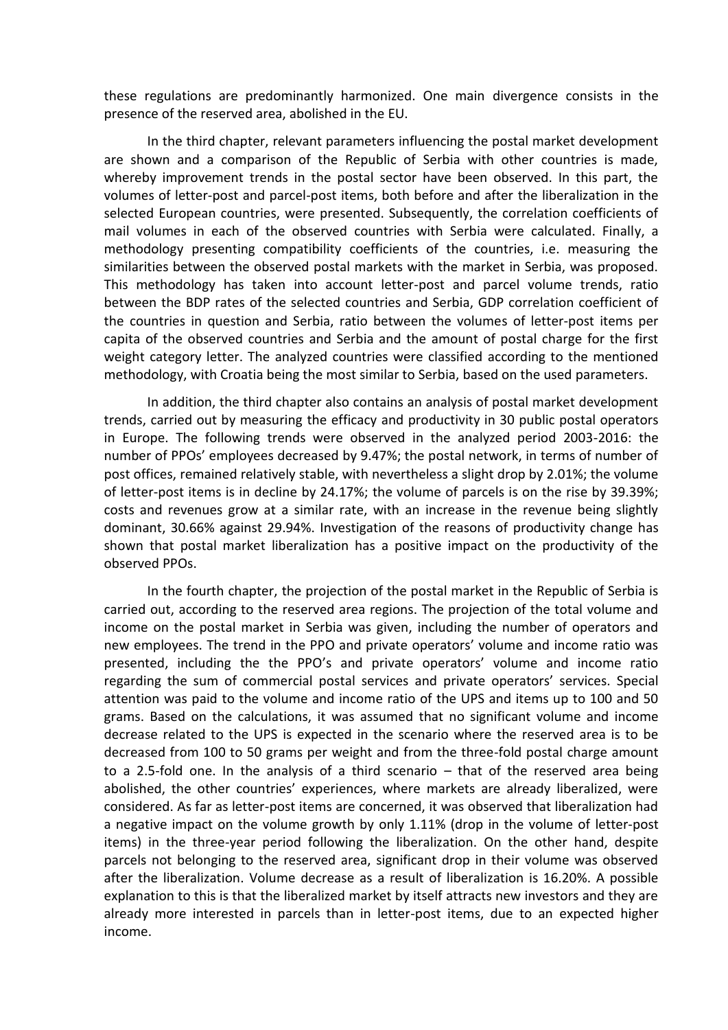these regulations are predominantly harmonized. One main divergence consists in the presence of the reserved area, abolished in the EU.

In the third chapter, relevant parameters influencing the postal market development are shown and a comparison of the Republic of Serbia with other countries is made, whereby improvement trends in the postal sector have been observed. In this part, the volumes of letter-post and parcel-post items, both before and after the liberalization in the selected European countries, were presented. Subsequently, the correlation coefficients of mail volumes in each of the observed countries with Serbia were calculated. Finally, a methodology presenting compatibility coefficients of the countries, i.e. measuring the similarities between the observed postal markets with the market in Serbia, was proposed. This methodology has taken into account letter-post and parcel volume trends, ratio between the BDP rates of the selected countries and Serbia, GDP correlation coefficient of the countries in question and Serbia, ratio between the volumes of letter-post items per capita of the observed countries and Serbia and the amount of postal charge for the first weight category letter. The analyzed countries were classified according to the mentioned methodology, with Croatia being the most similar to Serbia, based on the used parameters.

In addition, the third chapter also contains an analysis of postal market development trends, carried out by measuring the efficacy and productivity in 30 public postal operators in Europe. The following trends were observed in the analyzed period 2003-2016: the number of PPOs' employees decreased by 9.47%; the postal network, in terms of number of post offices, remained relatively stable, with nevertheless a slight drop by 2.01%; the volume of letter-post items is in decline by 24.17%; the volume of parcels is on the rise by 39.39%; costs and revenues grow at a similar rate, with an increase in the revenue being slightly dominant, 30.66% against 29.94%. Investigation of the reasons of productivity change has shown that postal market liberalization has a positive impact on the productivity of the observed PPOs.

In the fourth chapter, the projection of the postal market in the Republic of Serbia is carried out, according to the reserved area regions. The projection of the total volume and income on the postal market in Serbia was given, including the number of operators and new employees. The trend in the PPO and private operators' volume and income ratio was presented, including the the PPO's and private operators' volume and income ratio regarding the sum of commercial postal services and private operators' services. Special attention was paid to the volume and income ratio of the UPS and items up to 100 and 50 grams. Based on the calculations, it was assumed that no significant volume and income decrease related to the UPS is expected in the scenario where the reserved area is to be decreased from 100 to 50 grams per weight and from the three-fold postal charge amount to a 2.5-fold one. In the analysis of a third scenario – that of the reserved area being abolished, the other countries' experiences, where markets are already liberalized, were considered. As far as letter-post items are concerned, it was observed that liberalization had a negative impact on the volume growth by only 1.11% (drop in the volume of letter-post items) in the three-year period following the liberalization. On the other hand, despite parcels not belonging to the reserved area, significant drop in their volume was observed after the liberalization. Volume decrease as a result of liberalization is 16.20%. A possible explanation to this is that the liberalized market by itself attracts new investors and they are already more interested in parcels than in letter-post items, due to an expected higher income.